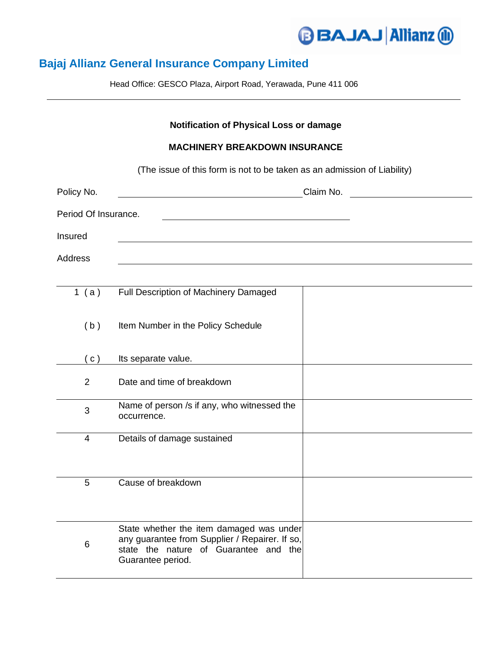## **BAJAJ Allianz @**

## **Bajaj Allianz General Insurance Company Limited**

Head Office: GESCO Plaza, Airport Road, Yerawada, Pune 411 006

## **Notification of Physical Loss or damage MACHINERY BREAKDOWN INSURANCE** (The issue of this form is not to be taken as an admission of Liability) Policy No. Claim No. Period Of Insurance. Insured Address 1 ( a ) Full Description of Machinery Damaged (b) Item Number in the Policy Schedule (c) Its separate value. 2 Date and time of breakdown 3 Name of person /s if any, who witnessed the occurrence. 4 Details of damage sustained 5 Cause of breakdown 6 State whether the item damaged was under any guarantee from Supplier / Repairer. If so, state the nature of Guarantee and the Guarantee period.